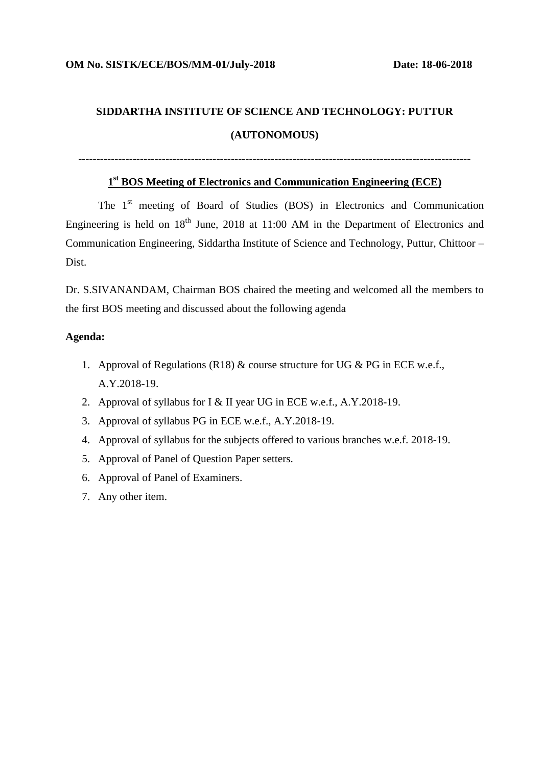# **SIDDARTHA INSTITUTE OF SCIENCE AND TECHNOLOGY: PUTTUR (AUTONOMOUS)**

**------------------------------------------------------------------------------------------------------------**

## **1 st BOS Meeting of Electronics and Communication Engineering (ECE)**

The 1<sup>st</sup> meeting of Board of Studies (BOS) in Electronics and Communication Engineering is held on  $18<sup>th</sup>$  June, 2018 at 11:00 AM in the Department of Electronics and Communication Engineering, Siddartha Institute of Science and Technology, Puttur, Chittoor – Dist.

Dr. S.SIVANANDAM, Chairman BOS chaired the meeting and welcomed all the members to the first BOS meeting and discussed about the following agenda

#### **Agenda:**

- 1. Approval of Regulations (R18) & course structure for UG & PG in ECE w.e.f., A.Y.2018-19.
- 2. Approval of syllabus for I & II year UG in ECE w.e.f., A.Y.2018-19.
- 3. Approval of syllabus PG in ECE w.e.f., A.Y.2018-19.
- 4. Approval of syllabus for the subjects offered to various branches w.e.f. 2018-19.
- 5. Approval of Panel of Question Paper setters.
- 6. Approval of Panel of Examiners.
- 7. Any other item.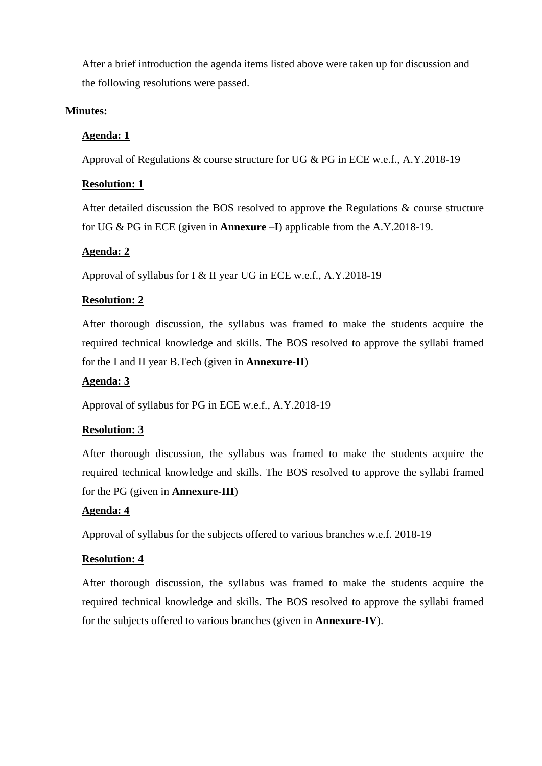After a brief introduction the agenda items listed above were taken up for discussion and the following resolutions were passed.

## **Minutes:**

## **Agenda: 1**

Approval of Regulations & course structure for UG & PG in ECE w.e.f., A.Y.2018-19

## **Resolution: 1**

After detailed discussion the BOS resolved to approve the Regulations & course structure for UG & PG in ECE (given in **Annexure –I**) applicable from the A.Y.2018-19.

## **Agenda: 2**

Approval of syllabus for I & II year UG in ECE w.e.f., A.Y.2018-19

## **Resolution: 2**

After thorough discussion, the syllabus was framed to make the students acquire the required technical knowledge and skills. The BOS resolved to approve the syllabi framed for the I and II year B.Tech (given in **Annexure-II**)

## **Agenda: 3**

Approval of syllabus for PG in ECE w.e.f., A.Y.2018-19

## **Resolution: 3**

After thorough discussion, the syllabus was framed to make the students acquire the required technical knowledge and skills. The BOS resolved to approve the syllabi framed for the PG (given in **Annexure-III**)

## **Agenda: 4**

Approval of syllabus for the subjects offered to various branches w.e.f. 2018-19

## **Resolution: 4**

After thorough discussion, the syllabus was framed to make the students acquire the required technical knowledge and skills. The BOS resolved to approve the syllabi framed for the subjects offered to various branches (given in **Annexure-IV**).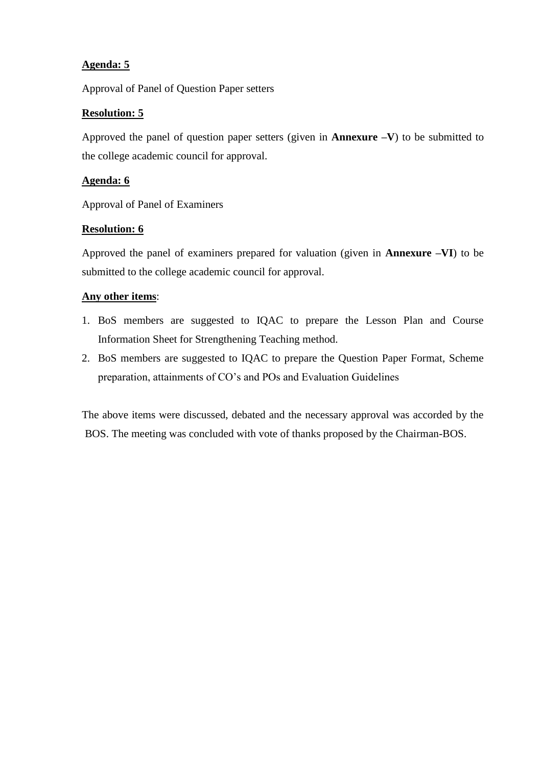## **Agenda: 5**

Approval of Panel of Question Paper setters

## **Resolution: 5**

Approved the panel of question paper setters (given in **Annexure –V**) to be submitted to the college academic council for approval.

## **Agenda: 6**

Approval of Panel of Examiners

## **Resolution: 6**

Approved the panel of examiners prepared for valuation (given in **Annexure –VI**) to be submitted to the college academic council for approval.

## **Any other items**:

- 1. BoS members are suggested to IQAC to prepare the Lesson Plan and Course Information Sheet for Strengthening Teaching method.
- 2. BoS members are suggested to IQAC to prepare the Question Paper Format, Scheme preparation, attainments of CO's and POs and Evaluation Guidelines

The above items were discussed, debated and the necessary approval was accorded by the BOS. The meeting was concluded with vote of thanks proposed by the Chairman-BOS.